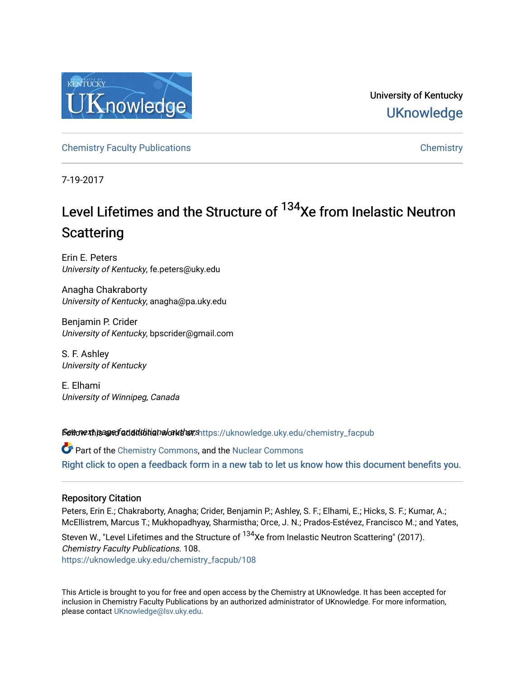

University of Kentucky **UKnowledge** 

[Chemistry Faculty Publications](https://uknowledge.uky.edu/chemistry_facpub) [Chemistry](https://uknowledge.uky.edu/chemistry) 

7-19-2017

# Level Lifetimes and the Structure of <sup>134</sup>Xe from Inelastic Neutron **Scattering**

Erin E. Peters University of Kentucky, fe.peters@uky.edu

Anagha Chakraborty University of Kentucky, anagha@pa.uky.edu

Benjamin P. Crider University of Kentucky, bpscrider@gmail.com

S. F. Ashley University of Kentucky

E. Elhami University of Winnipeg, Canada

Settow the age of additional authorships://uknowledge.uky.edu/chemistry\_facpub

Part of the [Chemistry Commons,](http://network.bepress.com/hgg/discipline/131?utm_source=uknowledge.uky.edu%2Fchemistry_facpub%2F108&utm_medium=PDF&utm_campaign=PDFCoverPages) and the [Nuclear Commons](http://network.bepress.com/hgg/discipline/203?utm_source=uknowledge.uky.edu%2Fchemistry_facpub%2F108&utm_medium=PDF&utm_campaign=PDFCoverPages)  [Right click to open a feedback form in a new tab to let us know how this document benefits you.](https://uky.az1.qualtrics.com/jfe/form/SV_9mq8fx2GnONRfz7)

## Repository Citation

Peters, Erin E.; Chakraborty, Anagha; Crider, Benjamin P.; Ashley, S. F.; Elhami, E.; Hicks, S. F.; Kumar, A.; McEllistrem, Marcus T.; Mukhopadhyay, Sharmistha; Orce, J. N.; Prados-Estévez, Francisco M.; and Yates,

Steven W., "Level Lifetimes and the Structure of <sup>134</sup>Xe from Inelastic Neutron Scattering" (2017). Chemistry Faculty Publications. 108. [https://uknowledge.uky.edu/chemistry\\_facpub/108](https://uknowledge.uky.edu/chemistry_facpub/108?utm_source=uknowledge.uky.edu%2Fchemistry_facpub%2F108&utm_medium=PDF&utm_campaign=PDFCoverPages) 

This Article is brought to you for free and open access by the Chemistry at UKnowledge. It has been accepted for inclusion in Chemistry Faculty Publications by an authorized administrator of UKnowledge. For more information, please contact [UKnowledge@lsv.uky.edu.](mailto:UKnowledge@lsv.uky.edu)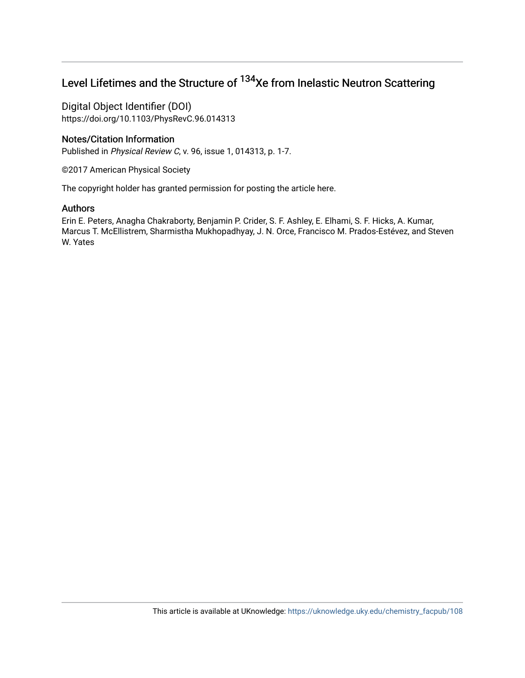## Level Lifetimes and the Structure of <sup>134</sup>Xe from Inelastic Neutron Scattering

Digital Object Identifier (DOI) https://doi.org/10.1103/PhysRevC.96.014313

## Notes/Citation Information

Published in Physical Review C, v. 96, issue 1, 014313, p. 1-7.

©2017 American Physical Society

The copyright holder has granted permission for posting the article here.

## Authors

Erin E. Peters, Anagha Chakraborty, Benjamin P. Crider, S. F. Ashley, E. Elhami, S. F. Hicks, A. Kumar, Marcus T. McEllistrem, Sharmistha Mukhopadhyay, J. N. Orce, Francisco M. Prados-Estévez, and Steven W. Yates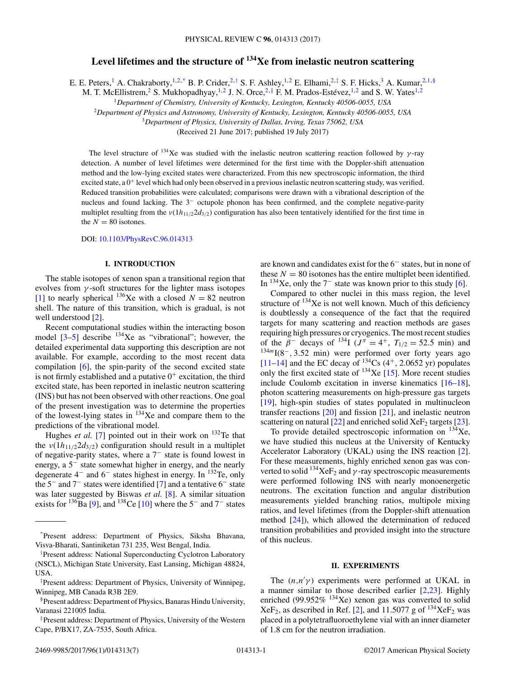## **Level lifetimes and the structure of 134Xe from inelastic neutron scattering**

E. E. Peters,<sup>1</sup> A. Chakraborty,<sup>1,2,\*</sup> B. P. Crider,<sup>2,†</sup> S. F. Ashley,<sup>1,2</sup> E. Elhami,<sup>2,‡</sup> S. F. Hicks,<sup>3</sup> A. Kumar,<sup>2,1,§</sup>

M. T. McEllistrem,<sup>2</sup> S. Mukhopadhyay,<sup>1,2</sup> J. N. Orce,<sup>2,||</sup> F. M. Prados-Estévez,<sup>1,2</sup> and S. W. Yates<sup>1,2</sup>

<sup>1</sup>*Department of Chemistry, University of Kentucky, Lexington, Kentucky 40506-0055, USA*

<sup>2</sup>*Department of Physics and Astronomy, University of Kentucky, Lexington, Kentucky 40506-0055, USA*

<sup>3</sup>*Department of Physics, University of Dallas, Irving, Texas 75062, USA*

(Received 21 June 2017; published 19 July 2017)

The level structure of <sup>134</sup>Xe was studied with the inelastic neutron scattering reaction followed by  $\gamma$ -ray detection. A number of level lifetimes were determined for the first time with the Doppler-shift attenuation method and the low-lying excited states were characterized. From this new spectroscopic information, the third excited state, a  $0^+$  level which had only been observed in a previous inelastic neutron scattering study, was verified. Reduced transition probabilities were calculated; comparisons were drawn with a vibrational description of the nucleus and found lacking. The 3<sup>−</sup> octupole phonon has been confirmed, and the complete negative-parity multiplet resulting from the  $v(1h_{11/2}2d_{3/2})$  configuration has also been tentatively identified for the first time in the  $N = 80$  isotones.

DOI: [10.1103/PhysRevC.96.014313](https://doi.org/10.1103/PhysRevC.96.014313)

#### **I. INTRODUCTION**

The stable isotopes of xenon span a transitional region that evolves from  $\gamma$ -soft structures for the lighter mass isotopes [\[1\]](#page-7-0) to nearly spherical  $^{136}$ Xe with a closed  $N = 82$  neutron shell. The nature of this transition, which is gradual, is not well understood [\[2\]](#page-7-0).

Recent computational studies within the interacting boson model  $[3-5]$  describe  $134$ Xe as "vibrational"; however, the detailed experimental data supporting this description are not available. For example, according to the most recent data compilation [\[6\]](#page-7-0), the spin-parity of the second excited state is not firmly established and a putative  $0^+$  excitation, the third excited state, has been reported in inelastic neutron scattering (INS) but has not been observed with other reactions. One goal of the present investigation was to determine the properties of the lowest-lying states in  $^{134}$ Xe and compare them to the predictions of the vibrational model.

Hughes *et al.* [\[7\]](#page-7-0) pointed out in their work on  $132$ Te that the  $v(1h_{11/2}2d_{3/2})$  configuration should result in a multiplet of negative-parity states, where a 7<sup>−</sup> state is found lowest in energy, a 5<sup>−</sup> state somewhat higher in energy, and the nearly degenerate 4<sup>−</sup> and 6<sup>−</sup> states highest in energy. In 132Te, only the 5<sup>−</sup> and 7<sup>−</sup> states were identified [\[7\]](#page-7-0) and a tentative 6<sup>−</sup> state was later suggested by Biswas *et al.* [\[8\]](#page-7-0). A similar situation exists for  $^{136}$ Ba [\[9\]](#page-7-0), and  $^{138}$ Ce [\[10\]](#page-7-0) where the 5<sup>-</sup> and 7<sup>-</sup> states

are known and candidates exist for the 6<sup>−</sup> states, but in none of these  $N = 80$  isotones has the entire multiplet been identified. In  $134$ Xe, only the  $7<sup>-</sup>$  state was known prior to this study [\[6\]](#page-7-0).

Compared to other nuclei in this mass region, the level structure of <sup>134</sup>Xe is not well known. Much of this deficiency is doubtlessly a consequence of the fact that the required targets for many scattering and reaction methods are gases requiring high pressures or cryogenics. The most recent studies of the  $\beta^-$  decays of <sup>134</sup>I ( $J^{\pi} = 4^+$ ,  $T_{1/2} = 52.5$  min) and  $134m1(8^-, 3.52 \text{ min})$  were performed over forty years ago [\[11–14\]](#page-7-0) and the EC decay of  $^{134}$ Cs (4<sup>+</sup>, 2.0652 yr) populates only the first excited state of  $134$ Xe [\[15\]](#page-7-0). More recent studies include Coulomb excitation in inverse kinematics [\[16–18\]](#page-7-0), photon scattering measurements on high-pressure gas targets [\[19\]](#page-7-0), high-spin studies of states populated in multinucleon transfer reactions [\[20\]](#page-8-0) and fission [\[21\]](#page-8-0), and inelastic neutron scattering on natural  $[22]$  and enriched solid  $XeF_2$  targets  $[23]$ .

To provide detailed spectroscopic information on  $134$ Xe, we have studied this nucleus at the University of Kentucky Accelerator Laboratory (UKAL) using the INS reaction [\[2\]](#page-7-0). For these measurements, highly enriched xenon gas was converted to solid  $^{134}\text{XeF}_2$  and  $\gamma$ -ray spectroscopic measurements were performed following INS with nearly monoenergetic neutrons. The excitation function and angular distribution measurements yielded branching ratios, multipole mixing ratios, and level lifetimes (from the Doppler-shift attenuation method [\[24\]](#page-8-0)), which allowed the determination of reduced transition probabilities and provided insight into the structure of this nucleus.

#### **II. EXPERIMENTS**

The  $(n,n'\gamma)$  experiments were performed at UKAL in a manner similar to those described earlier [\[2,](#page-7-0)[23\]](#page-8-0). Highly enriched (99.952%  $134$ Xe) xenon gas was converted to solid  $XeF_2$ , as described in Ref. [\[2\]](#page-7-0), and 11.5077 g of  $^{134}XeF_2$  was placed in a polytetrafluoroethylene vial with an inner diameter of 1.8 cm for the neutron irradiation.

<sup>\*</sup>Present address: Department of Physics, Siksha Bhavana, Visva-Bharati, Santiniketan 731 235, West Bengal, India.

<sup>†</sup> Present address: National Superconducting Cyclotron Laboratory (NSCL), Michigan State University, East Lansing, Michigan 48824, USA.

<sup>‡</sup> Present address: Department of Physics, University of Winnipeg, Winnipeg, MB Canada R3B 2E9.

<sup>§</sup>Present address: Department of Physics, Banaras Hindu University, Varanasi 221005 India.

<sup>-</sup>Present address: Department of Physics, University of the Western Cape, P/BX17, ZA-7535, South Africa.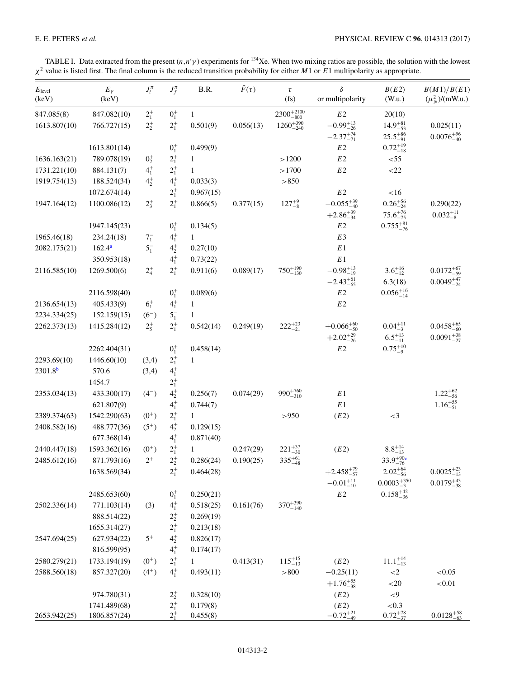<span id="page-3-0"></span>

|  |  | TABLE I. Data extracted from the present $(n, n' \gamma)$ experiments for <sup>134</sup> Xe. When two mixing ratios are possible, the solution with the lowest |  |  |  |  |  |
|--|--|----------------------------------------------------------------------------------------------------------------------------------------------------------------|--|--|--|--|--|
|  |  | $\chi^2$ value is listed first. The final column is the reduced transition probability for either M 1 or E1 multipolarity as appropriate.                      |  |  |  |  |  |

| $E_{\text{level}}$<br>(keV) | $E_{\gamma}$<br>(keV)        | $J_i^{\pi}$ | $J_f^{\pi}$                | B.R.                 | $\bar{F}(\tau)$ | $\tau$<br>(fs)        | $\delta$<br>or multipolarity                | B(E2)<br>(W.u.)                            | B(M1)/B(E1)<br>$(\mu_N^2)$ /(mW.u.)          |
|-----------------------------|------------------------------|-------------|----------------------------|----------------------|-----------------|-----------------------|---------------------------------------------|--------------------------------------------|----------------------------------------------|
| 847.085(8)                  | 847.082(10)                  | $2^{+}_{1}$ | $0^{+}_{1}$                | $\mathbf{1}$         |                 | $2300^{+2100}_{-800}$ | E2                                          | 20(10)                                     |                                              |
| 1613.807(10)                | 766.727(15)                  | $2^{+}_{2}$ | $2^{+}_{1}$                | 0.501(9)             | 0.056(13)       | $1260^{+390}_{-240}$  | $-0.99_{-26}^{+13}$                         | $14.9^{+81}_{-53}$                         | 0.025(11)                                    |
|                             |                              |             |                            |                      |                 |                       | $-2.37_{-71}^{+74}$                         | $25.5^{+86}_{-91}$                         | $0.0076_{-40}^{+96}$                         |
|                             | 1613.801(14)                 |             | $0^{+}_{1}$                | 0.499(9)             |                 |                       | E2                                          | $0.72^{+19}_{-18}$                         |                                              |
| 1636.163(21)                | 789.078(19)                  | $0^{+}_{2}$ | $2^{+}_{1}$                | 1                    |                 | >1200                 | E2                                          | $<$ 55                                     |                                              |
| 1731.221(10)                | 884.131(7)                   | $4^{+}_{1}$ | $2^{+}_{1}$                | $\mathbf{1}$         |                 | >1700                 | $E2\,$                                      | ${<}22$                                    |                                              |
| 1919.754(13)                | 188.524(34)                  | $4^{+}_{2}$ | $4^{+}_{1}$                | 0.033(3)             |                 | > 850                 |                                             |                                            |                                              |
|                             | 1072.674(14)                 |             | $2^{+}_{1}$                | 0.967(15)            |                 |                       | $E2\,$                                      | $<16$                                      |                                              |
| 1947.164(12)                | 1100.086(12)                 | $2^{+}_{3}$ | $2^{+}_{1}$                | 0.866(5)             | 0.377(15)       | $127^{+9}_{-8}$       | $-0.055_{-40}^{+39}$<br>$+2.86^{+39}_{-34}$ | $0.26_{-24}^{+56}$<br>$75.6^{+76}_{-75}$   | 0.290(22)<br>$0.032_{-8}^{+11}$              |
|                             | 1947.145(23)                 |             | $0^{+}_{1}$                | 0.134(5)             |                 |                       | $E2\,$                                      | $0.755_{-76}^{+81}$                        |                                              |
| 1965.46(18)                 | 234.24(18)                   | $7^{-}_{1}$ | $4^{+}_{1}$                | $\mathbf{1}$         |                 |                       | E3                                          |                                            |                                              |
| 2082.175(21)                | $162.4^a$                    | $5^{-}_{1}$ | $4^{+}_{2}$                | 0.27(10)             |                 |                       | $E\,1$                                      |                                            |                                              |
|                             | 350.953(18)                  |             | $4^{+}_{1}$                | 0.73(22)             |                 |                       | $E\,1$                                      |                                            |                                              |
| 2116.585(10)                | 1269.500(6)                  | $2^{+}_{4}$ | $2^{+}_{1}$                | 0.911(6)             | 0.089(17)       | $750^{+190}_{-130}$   | $-0.98_{-19}^{+13}$<br>$-2.43_{-65}^{+61}$  | $3.6^{+16}_{-12}$<br>6.3(18)               | $0.0172_{-59}^{+67}$<br>$0.0049_{-24}^{+47}$ |
|                             | 2116.598(40)                 |             | $0^+_1$                    | 0.089(6)             |                 |                       | $E2\,$                                      | $0.056_{-14}^{+16}$                        |                                              |
| 2136.654(13)                | 405.433(9)                   | $6^{+}_{1}$ | $4^{+}_{1}$                | 1                    |                 |                       | $E2$                                        |                                            |                                              |
| 2234.334(25)                | 152.159(15)                  | $(6^{-})$   | $5^{-}_{1}$                | 1                    |                 |                       |                                             |                                            |                                              |
| 2262.373(13)                | 1415.284(12)                 | $2^{+}_{5}$ | $2^{+}_{1}$                | 0.542(14)            | 0.249(19)       | $222^{+23}_{-21}$     | $+0.066^{+60}_{-50}$<br>$+2.02_{-26}^{+29}$ | $0.04_{-3}^{+11}$<br>$6.5^{+13}_{-11}$     | $0.0458^{+65}_{-60}$<br>$0.0091_{-27}^{+38}$ |
|                             | 2262.404(31)                 |             | $0^{+}_{1}$                | 0.458(14)            |                 |                       | $E2\,$                                      | $0.75_{-9}^{+10}$                          |                                              |
| 2293.69(10)                 | 1446.60(10)                  | (3,4)       | $2^{+}_{1}$                | 1                    |                 |                       |                                             |                                            |                                              |
| 2301.8 <sup>b</sup>         | 570.6                        | (3,4)       | $4^{+}_{1}$                |                      |                 |                       |                                             |                                            |                                              |
|                             | 1454.7                       |             | $2^{+}_{1}$                |                      |                 |                       |                                             |                                            |                                              |
| 2353.034(13)                | 433.300(17)                  | $(4^{-})$   | $4^{+}_{2}$                | 0.256(7)             | 0.074(29)       | $990^{+760}_{-310}$   | $E\,1$                                      |                                            | $1.22^{+62}_{-56}$                           |
|                             | 621.807(9)                   |             | $4^{+}_{1}$                | 0.744(7)             |                 |                       | $\mathbb{E} \hspace{.01cm} 1$               |                                            | $1.16^{+55}_{-51}$                           |
| 2389.374(63)                | 1542.290(63)                 | $(0^{+})$   | $2^{+}_{1}$                | $\mathbf{1}$         |                 | >950                  | (E2)                                        | $<$ 3                                      |                                              |
| 2408.582(16)                | 488.777(36)                  | $(5^+)$     | $4^{+}_{2}$                | 0.129(15)            |                 |                       |                                             |                                            |                                              |
|                             | 677.368(14)                  |             | $4^{+}_{1}$                | 0.871(40)            |                 |                       |                                             |                                            |                                              |
| 2440.447(18)                | 1593.362(16)                 | $(0^{+})$   | $2^{+}_{1}$                | 1                    | 0.247(29)       | $221^{+37}_{-30}$     | (E2)                                        | $8.8^{+14}_{-13}$                          |                                              |
| 2485.612(16)                | 871.793(16)                  | $2^+$       | $2^+_2$                    | 0.286(24)            | 0.190(25)       | $335^{+61}_{-48}$     |                                             | $33.9^{+90c}_{-76}$                        |                                              |
|                             | 1638.569(34)                 |             | $2^{+}_{1}$                | 0.464(28)            |                 |                       | $+2.458_{-57}^{+79}$<br>$-0.01_{-10}^{+11}$ | $2.02^{+64}_{-56}$<br>$0.0003_{-3}^{+350}$ | $0.0025_{-13}^{+23}$<br>$0.0179_{-38}^{+43}$ |
|                             | 2485.653(60)                 |             | $0^{+}_{1}$                | 0.250(21)            |                 |                       | $E2\,$                                      | $0.158^{+42}_{-36}$                        |                                              |
| 2502.336(14)                | 771.103(14)                  | (3)         | $4^{+}_{1}$                | 0.518(25)            | 0.161(76)       | $370^{+390}_{-140}$   |                                             |                                            |                                              |
|                             | 888.514(22)                  |             | $2^{+}_{2}$                | 0.269(19)            |                 |                       |                                             |                                            |                                              |
|                             | 1655.314(27)                 |             | $2^{+}_{1}$                | 0.213(18)            |                 |                       |                                             |                                            |                                              |
| 2547.694(25)                | 627.934(22)                  | $5^+$       | $4^{+}_{2}$                | 0.826(17)            |                 |                       |                                             |                                            |                                              |
|                             | 816.599(95)                  |             | $4^{+}_{1}$                | 0.174(17)            |                 |                       |                                             |                                            |                                              |
| 2580.279(21)                | 1733.194(19)                 | $(0^{+})$   | $2^{+}_{1}$                | $\mathbf{1}$         | 0.413(31)       | $115^{+15}_{-13}$     | (E2)                                        | $11.1_{-13}^{+14}$                         |                                              |
| 2588.560(18)                | 857.327(20)                  | $(4^{+})$   | $4^{+}_{1}$                | 0.493(11)            |                 | > 800                 | $-0.25(11)$                                 | ${<}2$                                     | < 0.05                                       |
|                             |                              |             |                            |                      |                 |                       | $+1.76_{-38}^{+55}$                         | ${<}20$                                    | ${<}0.01$                                    |
|                             | 974.780(31)                  |             | $2^{+}_{2}$                | 0.328(10)            |                 |                       | (E2)                                        | ${<}9$                                     |                                              |
| 2653.942(25)                | 1741.489(68)<br>1806.857(24) |             | $2^{+}_{1}$<br>$2^{+}_{1}$ | 0.179(8)<br>0.455(8) |                 |                       | (E2)<br>$-0.72_{-49}^{+21}$                 | ${<}0.3$<br>$0.72^{+78}_{-37}$             | $0.0128_{-63}^{+58}$                         |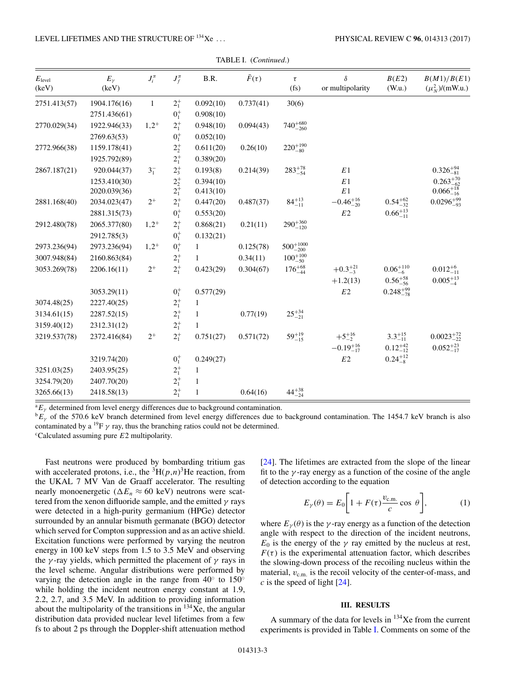<span id="page-4-0"></span>

| $E_{\text{level}}$ | $E_{\gamma}$ | $J_i^{\pi}$  | $J_f^{\pi}$            | B.R.         | $\bar{F}(\tau)$ | $\tau$               | $\delta$            | B(E2)               | B(M1)/B(E1)                                |
|--------------------|--------------|--------------|------------------------|--------------|-----------------|----------------------|---------------------|---------------------|--------------------------------------------|
| (keV)              | (keV)        |              |                        |              |                 | (fs)                 | or multipolarity    | (W.u.)              | $(\mu_N^2)/(mW.u.)$                        |
| 2751.413(57)       | 1904.176(16) | $\mathbf{1}$ | $2^{+}_{1}$            | 0.092(10)    | 0.737(41)       | 30(6)                |                     |                     |                                            |
|                    | 2751.436(61) |              | $0^{+}_{1}$            | 0.908(10)    |                 |                      |                     |                     |                                            |
| 2770.029(34)       | 1922.946(33) | $1,2^+$      | $2^{+}_{1}$            | 0.948(10)    | 0.094(43)       | $740^{+680}_{-260}$  |                     |                     |                                            |
|                    | 2769.63(53)  |              | $0^{+}_{1}$            | 0.052(10)    |                 |                      |                     |                     |                                            |
| 2772.966(38)       | 1159.178(41) |              | $2^+_2$                | 0.611(20)    | 0.26(10)        | $220^{+190}_{-80}$   |                     |                     |                                            |
|                    | 1925.792(89) |              | $2^{+}_{1}$            | 0.389(20)    |                 |                      |                     |                     |                                            |
| 2867.187(21)       | 920.044(37)  | $3^{-}_{1}$  | $2^+_3$                | 0.193(8)     | 0.214(39)       | $283^{+78}_{-54}$    | $E\,1$              |                     | $0.326_{-81}^{+94}$                        |
|                    | 1253.410(30) |              |                        | 0.394(10)    |                 |                      | E1                  |                     |                                            |
|                    | 2020.039(36) |              | $2^+_{2\atop 2^+_{1}}$ | 0.413(10)    |                 |                      | E1                  |                     | $0.263_{-62}^{+70}\atop-0.066_{-16}^{+18}$ |
| 2881.168(40)       | 2034.023(47) | $2^+$        | $2^{+}_{1}$            | 0.447(20)    | 0.487(37)       | $84^{+13}_{-11}$     | $-0.46_{-20}^{+16}$ | $0.54^{+62}_{-32}$  | $0.0296_{-93}^{+99}$                       |
|                    | 2881.315(73) |              | $0^+_1$                | 0.553(20)    |                 |                      | E2                  | $0.66_{-11}^{+13}$  |                                            |
| 2912.480(78)       | 2065.377(80) | $1,2^+$      | $2^{+}_{1}$            | 0.868(21)    | 0.21(11)        | $290^{+360}_{-120}$  |                     |                     |                                            |
|                    | 2912.785(3)  |              | $0^{+}_{1}$            | 0.132(21)    |                 |                      |                     |                     |                                            |
| 2973.236(94)       | 2973.236(94) | $1,2^+$      | $0^{+}_{1}$            | 1            | 0.125(78)       | $500^{+1000}_{-200}$ |                     |                     |                                            |
| 3007.948(84)       | 2160.863(84) |              | $2^{+}_{1}$            | $\mathbf{1}$ | 0.34(11)        | $100^{+100}_{-50}$   |                     |                     |                                            |
| 3053.269(78)       | 2206.16(11)  | $2^+$        | $2^{+}_{1}$            | 0.423(29)    | 0.304(67)       | $176^{+68}_{-44}$    | $+0.3^{+21}_{-3}$   | $0.06_{-6}^{+110}$  | $0.012_{-11}^{+6}$                         |
|                    |              |              |                        |              |                 |                      | $+1.2(13)$          | $0.56^{+58}_{-56}$  | $0.005_{-4}^{+13}$                         |
|                    | 3053.29(11)  |              | $0^{+}_{1}$            | 0.577(29)    |                 |                      | $E2\,$              | $0.248_{-78}^{+99}$ |                                            |
| 3074.48(25)        | 2227.40(25)  |              | $2^{+}_{1}$            | $\mathbf{1}$ |                 |                      |                     |                     |                                            |
| 3134.61(15)        | 2287.52(15)  |              | $2^{+}_{1}$            | 1            | 0.77(19)        | $25^{+34}_{-21}$     |                     |                     |                                            |
| 3159.40(12)        | 2312.31(12)  |              | $2^{+}_{1}$            | $\mathbf{1}$ |                 |                      |                     |                     |                                            |
| 3219.537(78)       | 2372.416(84) | $2^+$        | $2^{+}_{1}$            | 0.751(27)    | 0.571(72)       | $59^{+19}_{-15}$     | $+5^{+16}_{-2}$     | $3.3^{+15}_{-11}$   | $0.0023_{-22}^{+72}$                       |
|                    |              |              |                        |              |                 |                      | $-0.19_{-17}^{+16}$ | $0.12_{-12}^{+42}$  | $0.052_{-17}^{+23}$                        |
|                    | 3219.74(20)  |              | $0^{+}_{1}$            | 0.249(27)    |                 |                      | $E2\,$              | $0.24_{-8}^{+12}$   |                                            |
| 3251.03(25)        | 2403.95(25)  |              | $2^{+}_{1}$            | $\mathbf{1}$ |                 |                      |                     |                     |                                            |
| 3254.79(20)        | 2407.70(20)  |              | $2^{+}_{1}$            | $\mathbf{1}$ |                 |                      |                     |                     |                                            |
| 3265.66(13)        | 2418.58(13)  |              | $2^{+}_{1}$            | $\mathbf{1}$ | 0.64(16)        | $44^{+38}_{-24}$     |                     |                     |                                            |

|  | TABLE I. (Continued.) |
|--|-----------------------|
|--|-----------------------|

 ${}^aE_{\gamma}$  determined from level energy differences due to background contamination.

 ${}^{\text{b}}E_{\gamma}$  of the 570.6 keV branch determined from level energy differences due to background contamination. The 1454.7 keV branch is also contaminated by a <sup>19</sup>F  $\gamma$  ray, thus the branching ratios could not be determined.

<sup>c</sup>Calculated assuming pure E2 multipolarity.

Fast neutrons were produced by bombarding tritium gas with accelerated protons, i.e., the  ${}^{3}H(p,n){}^{3}He$  reaction, from the UKAL 7 MV Van de Graaff accelerator. The resulting nearly monoenergetic ( $\Delta E_n \approx 60$  keV) neutrons were scattered from the xenon difluoride sample, and the emitted  $\gamma$  rays were detected in a high-purity germanium (HPGe) detector surrounded by an annular bismuth germanate (BGO) detector which served for Compton suppression and as an active shield. Excitation functions were performed by varying the neutron energy in 100 keV steps from 1.5 to 3.5 MeV and observing the  $\gamma$ -ray yields, which permitted the placement of  $\gamma$  rays in the level scheme. Angular distributions were performed by varying the detection angle in the range from  $40°$  to  $150°$ while holding the incident neutron energy constant at 1.9, 2.2, 2.7, and 3.5 MeV. In addition to providing information about the multipolarity of the transitions in  $^{134}$ Xe, the angular distribution data provided nuclear level lifetimes from a few fs to about 2 ps through the Doppler-shift attenuation method [\[24\]](#page-8-0). The lifetimes are extracted from the slope of the linear fit to the  $\gamma$ -ray energy as a function of the cosine of the angle of detection according to the equation

$$
E_{\gamma}(\theta) = E_0 \bigg[ 1 + F(\tau) \frac{v_{\text{c.m.}}}{c} \cos \theta \bigg],\tag{1}
$$

where  $E_{\nu}(\theta)$  is the  $\gamma$ -ray energy as a function of the detection angle with respect to the direction of the incident neutrons,  $E_0$  is the energy of the  $\gamma$  ray emitted by the nucleus at rest,  $F(\tau)$  is the experimental attenuation factor, which describes the slowing-down process of the recoiling nucleus within the material,  $v_{\rm c.m.}$  is the recoil velocity of the center-of-mass, and  $c$  is the speed of light  $[24]$ .

#### **III. RESULTS**

A summary of the data for levels in  $134$ Xe from the current experiments is provided in Table [I.](#page-3-0) Comments on some of the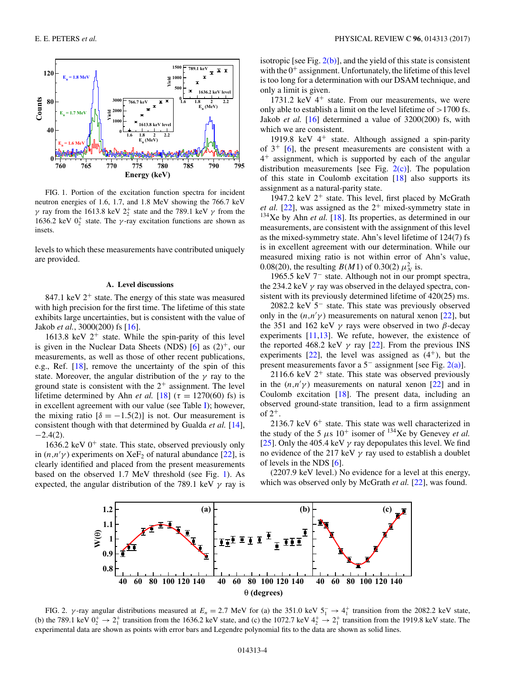

FIG. 1. Portion of the excitation function spectra for incident neutron energies of 1.6, 1.7, and 1.8 MeV showing the 766.7 keV  $γ$  ray from the 1613.8 keV  $2<sub>2</sub><sup>+</sup>$  state and the 789.1 keV  $γ$  from the 1636.2 keV  $0^+_2$  state. The  $\gamma$ -ray excitation functions are shown as insets.

levels to which these measurements have contributed uniquely are provided.

#### **A. Level discussions**

847.1 keV  $2^+$  state. The energy of this state was measured with high precision for the first time. The lifetime of this state exhibits large uncertainties, but is consistent with the value of Jakob *et al.*, 3000(200) fs [\[16\]](#page-7-0).

1613.8 keV  $2^+$  state. While the spin-parity of this level is given in the Nuclear Data Sheets (NDS)  $[6]$  as  $(2)^+$ , our measurements, as well as those of other recent publications, e.g., Ref. [\[18\]](#page-7-0), remove the uncertainty of the spin of this state. Moreover, the angular distribution of the  $\gamma$  ray to the ground state is consistent with the  $2^+$  assignment. The level lifetime determined by Ahn *et al.* [\[18\]](#page-7-0) ( $\tau = 1270(60)$  fs) is in excellent agreement with our value (see Table [I\)](#page-3-0); however, the mixing ratio  $\delta = -1.5(2)$  is not. Our measurement is consistent though with that determined by Gualda *et al.* [\[14\]](#page-7-0),  $-2.4(2)$ .

1636.2 keV  $0^+$  state. This state, observed previously only in  $(n, n' \gamma)$  experiments on XeF<sub>2</sub> of natural abundance [\[22\]](#page-8-0), is clearly identified and placed from the present measurements based on the observed 1.7 MeV threshold (see Fig. 1). As expected, the angular distribution of the 789.1 keV  $\gamma$  ray is

isotropic [see Fig.  $2(b)$ ], and the yield of this state is consistent with the  $0^+$  assignment. Unfortunately, the lifetime of this level is too long for a determination with our DSAM technique, and only a limit is given.

1731.2 keV  $4^+$  state. From our measurements, we were only able to establish a limit on the level lifetime of  $>1700$  fs. Jakob *et al.* [\[16\]](#page-7-0) determined a value of 3200(200) fs, with which we are consistent.

1919.8 keV  $4^+$  state. Although assigned a spin-parity of  $3^+$  [\[6\]](#page-7-0), the present measurements are consistent with a 4<sup>+</sup> assignment, which is supported by each of the angular distribution measurements [see Fig.  $2(c)$ ]. The population of this state in Coulomb excitation [\[18\]](#page-7-0) also supports its assignment as a natural-parity state.

1947.2 keV  $2^+$  state. This level, first placed by McGrath *et al.* [\[22\]](#page-8-0), was assigned as the  $2^+$  mixed-symmetry state in <sup>134</sup>Xe by Ahn *et al.* [\[18\]](#page-7-0). Its properties, as determined in our measurements, are consistent with the assignment of this level as the mixed-symmetry state. Ahn's level lifetime of 124(7) fs is in excellent agreement with our determination. While our measured mixing ratio is not within error of Ahn's value, 0.08(20), the resulting  $B(M1)$  of 0.30(2)  $\mu_N^2$  is.

1965.5 keV 7<sup>−</sup> state. Although not in our prompt spectra, the 234.2 keV  $\gamma$  ray was observed in the delayed spectra, consistent with its previously determined lifetime of  $420(25)$  ms.

2082.2 keV 5<sup>−</sup> state. This state was previously observed only in the  $(n, n' \gamma)$  measurements on natural xenon [\[22\]](#page-8-0), but the 351 and 162 keV  $γ$  rays were observed in two  $β$ -decay experiments [\[11,13\]](#page-7-0). We refute, however, the existence of the reported 468.2 keV  $\gamma$  ray [\[22\]](#page-8-0). From the previous INS experiments  $[22]$ , the level was assigned as  $(4^+)$ , but the present measurements favor a 5<sup>−</sup> assignment [see Fig. 2(a)].

2116.6 keV  $2^+$  state. This state was observed previously in the  $(n,n'\gamma)$  measurements on natural xenon [\[22\]](#page-8-0) and in Coulomb excitation [\[18\]](#page-7-0). The present data, including an observed ground-state transition, lead to a firm assignment of  $2^+$ .

2136.7 keV  $6^+$  state. This state was well characterized in the study of the 5  $\mu$ s 10<sup>+</sup> isomer of <sup>134</sup>Xe by Genevey *et al.* [\[25\]](#page-8-0). Only the 405.4 keV  $\gamma$  ray depopulates this level. We find no evidence of the 217 keV  $\gamma$  ray used to establish a doublet of levels in the NDS [\[6\]](#page-7-0).

(2207.9 keV level.) No evidence for a level at this energy, which was observed only by McGrath *et al.* [\[22\]](#page-8-0), was found.



FIG. 2.  $\gamma$ -ray angular distributions measured at  $E_n = 2.7$  MeV for (a) the 351.0 keV  $5_1^- \rightarrow 4_1^+$  transition from the 2082.2 keV state, (b) the 789.1 keV  $0_2^+ \rightarrow 2_1^+$  transition from the 1636.2 keV state, and (c) the 1072.7 keV  $4_2^+ \rightarrow 2_1^+$  transition from the 1919.8 keV state. The experimental data are shown as points with error bars and Legendre polynomial fits to the data are shown as solid lines.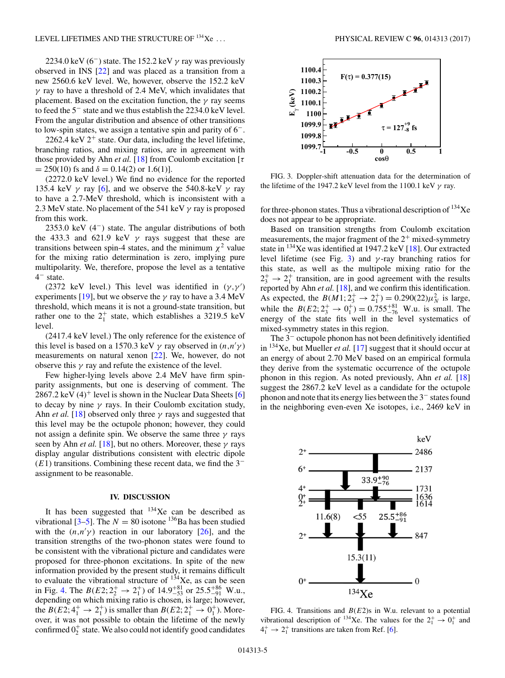2234.0 keV (6<sup>-</sup>) state. The 152.2 keV  $\gamma$  ray was previously observed in INS [\[22\]](#page-8-0) and was placed as a transition from a new 2560.6 keV level. We, however, observe the 152.2 keV  $\gamma$  ray to have a threshold of 2.4 MeV, which invalidates that placement. Based on the excitation function, the  $\gamma$  ray seems to feed the 5<sup>−</sup> state and we thus establish the 2234.0 keV level. From the angular distribution and absence of other transitions to low-spin states, we assign a tentative spin and parity of 6−.

2262.4 keV  $2^+$  state. Our data, including the level lifetime, branching ratios, and mixing ratios, are in agreement with those provided by Ahn *et al.* [\[18\]](#page-7-0) from Coulomb excitation [ $\tau$  $= 250(10)$  fs and  $\delta = 0.14(2)$  or 1.6(1)].

(2272.0 keV level.) We find no evidence for the reported 135.4 keV  $\gamma$  ray [\[6\]](#page-7-0), and we observe the 540.8-keV  $\gamma$  ray to have a 2.7-MeV threshold, which is inconsistent with a 2.3 MeV state. No placement of the 541 keV  $\gamma$  ray is proposed from this work.

2353.0 keV (4<sup>-</sup>) state. The angular distributions of both the 433.3 and 621.9 keV  $\gamma$  rays suggest that these are transitions between spin-4 states, and the minimum  $\chi^2$  value for the mixing ratio determination is zero, implying pure multipolarity. We, therefore, propose the level as a tentative 4<sup>−</sup> state.

(2372 keV level.) This level was identified in  $(\gamma, \gamma')$ experiments [\[19\]](#page-7-0), but we observe the  $\gamma$  ray to have a 3.4 MeV threshold, which means it is not a ground-state transition, but rather one to the  $2^+_1$  state, which establishes a 3219.5 keV level.

(2417.4 keV level.) The only reference for the existence of this level is based on a 1570.3 keV  $\gamma$  ray observed in  $(n, n' \gamma)$ measurements on natural xenon [\[22\]](#page-8-0). We, however, do not observe this  $\gamma$  ray and refute the existence of the level.

Few higher-lying levels above 2.4 MeV have firm spinparity assignments, but one is deserving of comment. The 2867.2 keV  $(4)^+$  level is shown in the Nuclear Data Sheets [\[6\]](#page-7-0) to decay by nine  $\gamma$  rays. In their Coulomb excitation study, Ahn *et al.* [\[18\]](#page-7-0) observed only three  $\gamma$  rays and suggested that this level may be the octupole phonon; however, they could not assign a definite spin. We observe the same three  $\gamma$  rays seen by Ahn *et al.* [\[18\]](#page-7-0), but no others. Moreover, these  $\gamma$  rays display angular distributions consistent with electric dipole  $(E1)$  transitions. Combining these recent data, we find the 3<sup>−</sup> assignment to be reasonable.

#### **IV. DISCUSSION**

It has been suggested that  $134Xe$  can be described as vibrational [\[3–5\]](#page-7-0). The  $N = 80$  isotone <sup>136</sup>Ba has been studied with the  $(n,n'\gamma)$  reaction in our laboratory [\[26\]](#page-8-0), and the transition strengths of the two-phonon states were found to be consistent with the vibrational picture and candidates were proposed for three-phonon excitations. In spite of the new information provided by the present study, it remains difficult to evaluate the vibrational structure of  $134$ Xe, as can be seen in Fig. 4. The  $B(E2; 2^+_2 \rightarrow 2^+_1)$  of  $14.9^{+81}_{-53}$  or  $25.5^{+86}_{-91}$  W.u., depending on which mixing ratio is chosen, is large; however, the  $B(E2; 4^+_1 \rightarrow 2^+_1)$  is smaller than  $B(E2; 2^+_1 \rightarrow 0^+_1)$ . Moreover, it was not possible to obtain the lifetime of the newly confirmed  $0^{+}_{2}$  state. We also could not identify good candidates



FIG. 3. Doppler-shift attenuation data for the determination of the lifetime of the 1947.2 keV level from the 1100.1 keV  $\gamma$  ray.

for three-phonon states. Thus a vibrational description of  $^{134}$ Xe does not appear to be appropriate.

Based on transition strengths from Coulomb excitation measurements, the major fragment of the  $2^+$  mixed-symmetry state in  $134$ Xe was identified at 1947.2 keV [\[18\]](#page-7-0). Our extracted level lifetime (see Fig. 3) and  $\gamma$ -ray branching ratios for this state, as well as the multipole mixing ratio for the  $2^+_3 \rightarrow 2^+_1$  transition, are in good agreement with the results reported by Ahn *et al.* [\[18\]](#page-7-0), and we confirm this identification. As expected, the  $B(M1; 2_3^+ \rightarrow 2_1^+) = 0.290(22)\mu_N^2$  is large, while the  $B(E2; 2^+_3 \rightarrow 0^+_1) = 0.755^{+81}_{-76}$  W.u. is small. The energy of the state fits well in the level systematics of mixed-symmetry states in this region.

The 3<sup>−</sup> octupole phonon has not been definitively identified in 134Xe, but Mueller *et al.* [\[17\]](#page-7-0) suggest that it should occur at an energy of about 2.70 MeV based on an empirical formula they derive from the systematic occurrence of the octupole phonon in this region. As noted previously, Ahn *et al.* [\[18\]](#page-7-0) suggest the 2867.2 keV level as a candidate for the octupole phonon and note that its energy lies between the 3<sup>−</sup> states found in the neighboring even-even Xe isotopes, i.e., 2469 keV in



FIG. 4. Transitions and  $B(E2)$ s in W.u. relevant to a potential vibrational description of <sup>134</sup>Xe. The values for the  $2^+_1 \rightarrow 0^+_1$  and  $4_1^+$   $\rightarrow$  2<sup>+</sup> transitions are taken from Ref. [\[6\]](#page-7-0).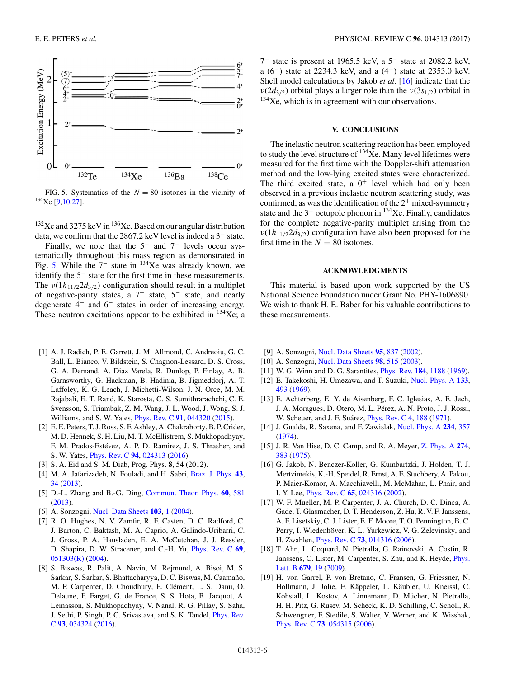<span id="page-7-0"></span>

FIG. 5. Systematics of the  $N = 80$  isotones in the vicinity of <sup>134</sup>Xe [9,10[,27\]](#page-8-0).

 $132$ Xe and 3275 keV in  $136$ Xe. Based on our angular distribution data, we confirm that the 2867.2 keV level is indeed a 3<sup>−</sup> state.

Finally, we note that the  $5<sup>-</sup>$  and  $7<sup>-</sup>$  levels occur systematically throughout this mass region as demonstrated in Fig. 5. While the  $7<sup>-</sup>$  state in <sup>134</sup>Xe was already known, we identify the 5<sup>−</sup> state for the first time in these measurements. The  $v(1h_{11/2}2d_{3/2})$  configuration should result in a multiplet of negative-parity states, a 7<sup>−</sup> state, 5<sup>−</sup> state, and nearly degenerate 4<sup>−</sup> and 6<sup>−</sup> states in order of increasing energy. These neutron excitations appear to be exhibited in  $^{134}$ Xe; a

- [1] A. J. Radich, P. E. Garrett, J. M. Allmond, C. Andreoiu, G. C. Ball, L. Bianco, V. Bildstein, S. Chagnon-Lessard, D. S. Cross, G. A. Demand, A. Diaz Varela, R. Dunlop, P. Finlay, A. B. Garnsworthy, G. Hackman, B. Hadinia, B. Jigmeddorj, A. T. Laffoley, K. G. Leach, J. Michetti-Wilson, J. N. Orce, M. M. Rajabali, E. T. Rand, K. Starosta, C. S. Sumithrarachchi, C. E. Svensson, S. Triambak, Z. M. Wang, J. L. Wood, J. Wong, S. J. Williams, and S. W. Yates, [Phys. Rev. C](https://doi.org/10.1103/PhysRevC.91.044320) **[91](https://doi.org/10.1103/PhysRevC.91.044320)**, [044320](https://doi.org/10.1103/PhysRevC.91.044320) [\(2015\)](https://doi.org/10.1103/PhysRevC.91.044320).
- [2] E. E. Peters, T. J. Ross, S. F. Ashley, A. Chakraborty, B. P. Crider, M. D. Hennek, S. H. Liu, M. T. McEllistrem, S. Mukhopadhyay, F. M. Prados-Estévez, A. P. D. Ramirez, J. S. Thrasher, and S. W. Yates, [Phys. Rev. C](https://doi.org/10.1103/PhysRevC.94.024313) **[94](https://doi.org/10.1103/PhysRevC.94.024313)**, [024313](https://doi.org/10.1103/PhysRevC.94.024313) [\(2016\)](https://doi.org/10.1103/PhysRevC.94.024313).
- [3] S. A. Eid and S. M. Diab, Prog. Phys. **8**, 54 (2012).
- [4] M. A. Jafarizadeh, N. Fouladi, and H. Sabri, [Braz. J. Phys.](https://doi.org/10.1007/s13538-013-0116-3) **[43](https://doi.org/10.1007/s13538-013-0116-3)**, [34](https://doi.org/10.1007/s13538-013-0116-3) [\(2013\)](https://doi.org/10.1007/s13538-013-0116-3).
- [5] D.-L. Zhang and B.-G. Ding, [Commun. Theor. Phys.](https://doi.org/10.1088/0253-6102/60/5/12) **[60](https://doi.org/10.1088/0253-6102/60/5/12)**, [581](https://doi.org/10.1088/0253-6102/60/5/12) [\(2013\)](https://doi.org/10.1088/0253-6102/60/5/12).
- [6] A. Sonzogni, [Nucl. Data Sheets](https://doi.org/10.1016/j.nds.2004.11.001) **[103](https://doi.org/10.1016/j.nds.2004.11.001)**, [1](https://doi.org/10.1016/j.nds.2004.11.001) [\(2004\)](https://doi.org/10.1016/j.nds.2004.11.001).
- [7] R. O. Hughes, N. V. Zamfir, R. F. Casten, D. C. Radford, C. J. Barton, C. Baktash, M. A. Caprio, A. Galindo-Uribarri, C. J. Gross, P. A. Hausladen, E. A. McCutchan, J. J. Ressler, D. Shapira, D. W. Stracener, and C.-H. Yu, [Phys. Rev. C](https://doi.org/10.1103/PhysRevC.69.051303) **[69](https://doi.org/10.1103/PhysRevC.69.051303)**, [051303\(R\)](https://doi.org/10.1103/PhysRevC.69.051303) [\(2004\)](https://doi.org/10.1103/PhysRevC.69.051303).
- [8] S. Biswas, R. Palit, A. Navin, M. Rejmund, A. Bisoi, M. S. Sarkar, S. Sarkar, S. Bhattacharyya, D. C. Biswas, M. Caamaño, M. P. Carpenter, D. Choudhury, E. Clément, L. S. Danu, O. Delaune, F. Farget, G. de France, S. S. Hota, B. Jacquot, A. Lemasson, S. Mukhopadhyay, V. Nanal, R. G. Pillay, S. Saha, [J. Sethi, P. Singh, P. C. Srivastava, and S. K. Tandel,](https://doi.org/10.1103/PhysRevC.93.034324) Phys. Rev. C **[93](https://doi.org/10.1103/PhysRevC.93.034324)**, [034324](https://doi.org/10.1103/PhysRevC.93.034324) [\(2016\)](https://doi.org/10.1103/PhysRevC.93.034324).

7<sup>−</sup> state is present at 1965.5 keV, a 5<sup>−</sup> state at 2082.2 keV, a (6−) state at 2234.3 keV, and a (4−) state at 2353.0 keV. Shell model calculations by Jakob *et al.* [16] indicate that the  $\nu(2d_{3/2})$  orbital plays a larger role than the  $\nu(3s_{1/2})$  orbital in  $134$ Xe, which is in agreement with our observations.

#### **V. CONCLUSIONS**

The inelastic neutron scattering reaction has been employed to study the level structure of  $^{134}$ Xe. Many level lifetimes were measured for the first time with the Doppler-shift attenuation method and the low-lying excited states were characterized. The third excited state, a  $0^+$  level which had only been observed in a previous inelastic neutron scattering study, was confirmed, as was the identification of the  $2^+$  mixed-symmetry state and the  $3<sup>-</sup>$  octupole phonon in <sup>134</sup>Xe. Finally, candidates for the complete negative-parity multiplet arising from the  $v(1h_{11/2}2d_{3/2})$  configuration have also been proposed for the first time in the  $N = 80$  isotones.

#### **ACKNOWLEDGMENTS**

This material is based upon work supported by the US National Science Foundation under Grant No. PHY-1606890. We wish to thank H. E. Baber for his valuable contributions to these measurements.

- [9] A. Sonzogni, [Nucl. Data Sheets](https://doi.org/10.1006/ndsh.2002.0008) **[95](https://doi.org/10.1006/ndsh.2002.0008)**, [837](https://doi.org/10.1006/ndsh.2002.0008) [\(2002\)](https://doi.org/10.1006/ndsh.2002.0008).
- [10] A. Sonzogni, [Nucl. Data Sheets](https://doi.org/10.1006/ndsh.2003.0004) **[98](https://doi.org/10.1006/ndsh.2003.0004)**, [515](https://doi.org/10.1006/ndsh.2003.0004) [\(2003\)](https://doi.org/10.1006/ndsh.2003.0004).
- [11] W. G. Winn and D. G. Sarantites, [Phys. Rev.](https://doi.org/10.1103/PhysRev.184.1188) **[184](https://doi.org/10.1103/PhysRev.184.1188)**, [1188](https://doi.org/10.1103/PhysRev.184.1188) [\(1969\)](https://doi.org/10.1103/PhysRev.184.1188).
- [12] E. Takekoshi, H. Umezawa, and T. Suzuki, [Nucl. Phys. A](https://doi.org/10.1016/0375-9474(69)90550-8) **[133](https://doi.org/10.1016/0375-9474(69)90550-8)**, [493](https://doi.org/10.1016/0375-9474(69)90550-8) [\(1969\)](https://doi.org/10.1016/0375-9474(69)90550-8).
- [13] E. Achterberg, E. Y. de Aisenberg, F. C. Iglesias, A. E. Jech, J. A. Moragues, D. Otero, M. L. Pérez, A. N. Proto, J. J. Rossi, W. Scheuer, and J. F. Suárez, [Phys. Rev. C](https://doi.org/10.1103/PhysRevC.4.188) **[4](https://doi.org/10.1103/PhysRevC.4.188)**, [188](https://doi.org/10.1103/PhysRevC.4.188) [\(1971\)](https://doi.org/10.1103/PhysRevC.4.188).
- [14] J. Gualda, R. Saxena, and F. Zawislak, [Nucl. Phys. A](https://doi.org/10.1016/0375-9474(74)90568-5) **[234](https://doi.org/10.1016/0375-9474(74)90568-5)**, [357](https://doi.org/10.1016/0375-9474(74)90568-5) [\(1974\)](https://doi.org/10.1016/0375-9474(74)90568-5).
- [15] J. R. Van Hise, D. C. Camp, and R. A. Meyer, [Z. Phys. A](https://doi.org/10.1007/BF01434052) **[274](https://doi.org/10.1007/BF01434052)**, [383](https://doi.org/10.1007/BF01434052) [\(1975\)](https://doi.org/10.1007/BF01434052).
- [16] G. Jakob, N. Benczer-Koller, G. Kumbartzki, J. Holden, T. J. Mertzimekis, K.-H. Speidel, R. Ernst, A. E. Stuchbery, A. Pakou, P. Maier-Komor, A. Macchiavelli, M. McMahan, L. Phair, and I. Y. Lee, [Phys. Rev. C](https://doi.org/10.1103/PhysRevC.65.024316) **[65](https://doi.org/10.1103/PhysRevC.65.024316)**, [024316](https://doi.org/10.1103/PhysRevC.65.024316) [\(2002\)](https://doi.org/10.1103/PhysRevC.65.024316).
- [17] W. F. Mueller, M. P. Carpenter, J. A. Church, D. C. Dinca, A. Gade, T. Glasmacher, D. T. Henderson, Z. Hu, R. V. F. Janssens, A. F. Lisetskiy, C. J. Lister, E. F. Moore, T. O. Pennington, B. C. Perry, I. Wiedenhöver, K. L. Yurkewicz, V. G. Zelevinsky, and H. Zwahlen, [Phys. Rev. C](https://doi.org/10.1103/PhysRevC.73.014316) **[73](https://doi.org/10.1103/PhysRevC.73.014316)**, [014316](https://doi.org/10.1103/PhysRevC.73.014316) [\(2006\)](https://doi.org/10.1103/PhysRevC.73.014316).
- [18] T. Ahn, L. Coquard, N. Pietralla, G. Rainovski, A. Costin, R. [Janssens, C. Lister, M. Carpenter, S. Zhu, and K. Heyde,](https://doi.org/10.1016/j.physletb.2009.06.066) Phys. Lett. B **[679](https://doi.org/10.1016/j.physletb.2009.06.066)**, [19](https://doi.org/10.1016/j.physletb.2009.06.066) [\(2009\)](https://doi.org/10.1016/j.physletb.2009.06.066).
- [19] H. von Garrel, P. von Bretano, C. Fransen, G. Friessner, N. Hollmann, J. Jolie, F. Käppeler, L. Käubler, U. Kneissl, C. Kohstall, L. Kostov, A. Linnemann, D. Mücher, N. Pietralla, H. H. Pitz, G. Rusev, M. Scheck, K. D. Schilling, C. Scholl, R. Schwengner, F. Stedile, S. Walter, V. Werner, and K. Wisshak, [Phys. Rev. C](https://doi.org/10.1103/PhysRevC.73.054315) **[73](https://doi.org/10.1103/PhysRevC.73.054315)**, [054315](https://doi.org/10.1103/PhysRevC.73.054315) [\(2006\)](https://doi.org/10.1103/PhysRevC.73.054315).